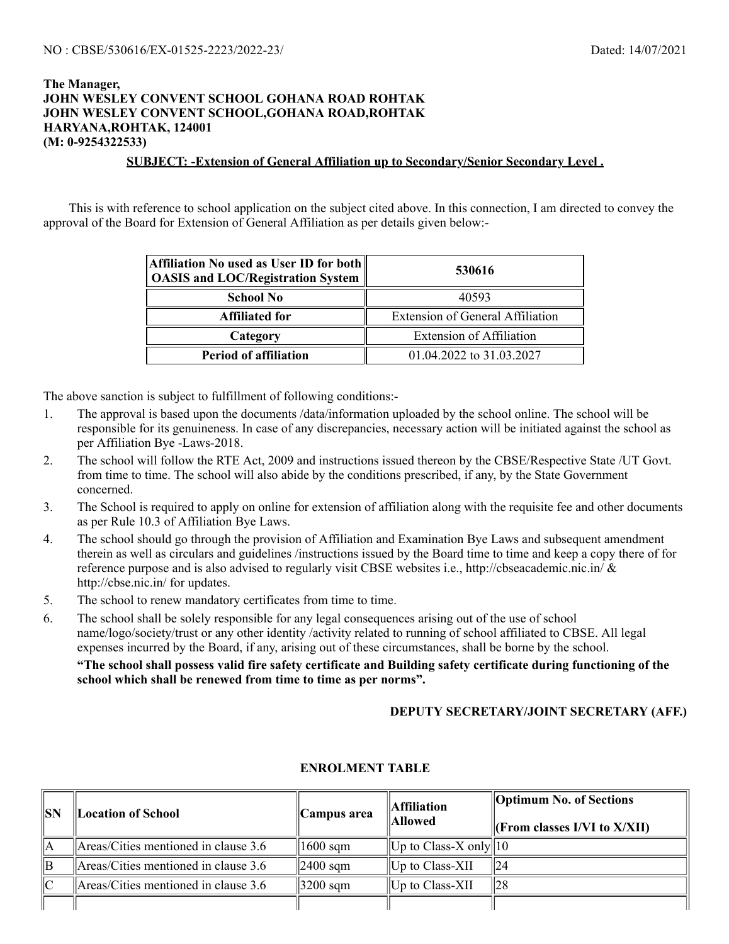## **The Manager, JOHN WESLEY CONVENT SCHOOL GOHANA ROAD ROHTAK JOHN WESLEY CONVENT SCHOOL,GOHANA ROAD,ROHTAK HARYANA,ROHTAK, 124001 (M: 0-9254322533)**

## **SUBJECT: -Extension of General Affiliation up to Secondary/Senior Secondary Level .**

This is with reference to school application on the subject cited above. In this connection, I am directed to convey the approval of the Board for Extension of General Affiliation as per details given below:-

| Affiliation No used as User ID for both  <br><b>OASIS and LOC/Registration System</b> | 530616                                  |  |  |
|---------------------------------------------------------------------------------------|-----------------------------------------|--|--|
| <b>School No</b>                                                                      | 40593                                   |  |  |
| <b>Affiliated for</b>                                                                 | <b>Extension of General Affiliation</b> |  |  |
| Category                                                                              | <b>Extension of Affiliation</b>         |  |  |
| <b>Period of affiliation</b>                                                          | 01.04.2022 to 31.03.2027                |  |  |

The above sanction is subject to fulfillment of following conditions:-

- 1. The approval is based upon the documents /data/information uploaded by the school online. The school will be responsible for its genuineness. In case of any discrepancies, necessary action will be initiated against the school as per Affiliation Bye -Laws-2018.
- 2. The school will follow the RTE Act, 2009 and instructions issued thereon by the CBSE/Respective State /UT Govt. from time to time. The school will also abide by the conditions prescribed, if any, by the State Government concerned.
- 3. The School is required to apply on online for extension of affiliation along with the requisite fee and other documents as per Rule 10.3 of Affiliation Bye Laws.
- 4. The school should go through the provision of Affiliation and Examination Bye Laws and subsequent amendment therein as well as circulars and guidelines /instructions issued by the Board time to time and keep a copy there of for reference purpose and is also advised to regularly visit CBSE websites i.e., http://cbseacademic.nic.in/ & http://cbse.nic.in/ for updates.
- 5. The school to renew mandatory certificates from time to time.
- 6. The school shall be solely responsible for any legal consequences arising out of the use of school name/logo/society/trust or any other identity /activity related to running of school affiliated to CBSE. All legal expenses incurred by the Board, if any, arising out of these circumstances, shall be borne by the school.

**"The school shall possess valid fire safety certificate and Building safety certificate during functioning of the school which shall be renewed from time to time as per norms".**

## **DEPUTY SECRETARY/JOINT SECRETARY (AFF.)**

| <b>Location of School</b>            | Campus area          | <b>Affiliation</b><br>Allowed         | <b>Optimum No. of Sections</b><br>$\Vert$ (From classes I/VI to X/XII) |
|--------------------------------------|----------------------|---------------------------------------|------------------------------------------------------------------------|
| Areas/Cities mentioned in clause 3.6 | $1600$ sqm           | $\Vert$ Up to Class-X only $\Vert$ 10 |                                                                        |
| Areas/Cities mentioned in clause 3.6 | $\parallel$ 2400 sqm | $\parallel$ Up to Class-XII           | 124                                                                    |
| Areas/Cities mentioned in clause 3.6 | $ 3200 \text{ sqm} $ | $\parallel$ Up to Class-XII           | 28                                                                     |
|                                      |                      |                                       |                                                                        |

## **ENROLMENT TABLE**